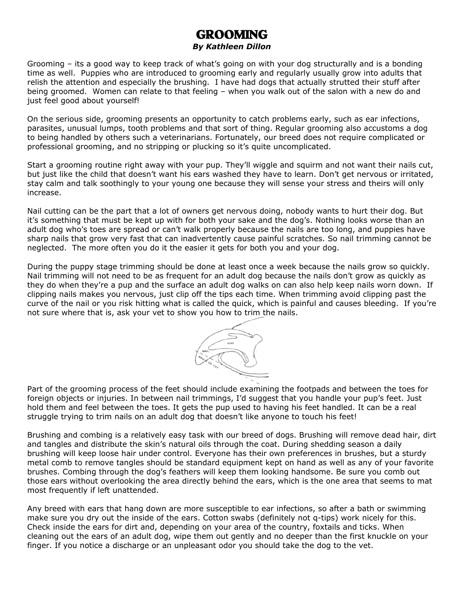## GROOMING

## *By Kathleen Dillon*

Grooming – its a good way to keep track of what's going on with your dog structurally and is a bonding time as well. Puppies who are introduced to grooming early and regularly usually grow into adults that relish the attention and especially the brushing. I have had dogs that actually strutted their stuff after being groomed. Women can relate to that feeling – when you walk out of the salon with a new do and just feel good about yourself!

On the serious side, grooming presents an opportunity to catch problems early, such as ear infections, parasites, unusual lumps, tooth problems and that sort of thing. Regular grooming also accustoms a dog to being handled by others such a veterinarians. Fortunately, our breed does not require complicated or professional grooming, and no stripping or plucking so it's quite uncomplicated.

Start a grooming routine right away with your pup. They'll wiggle and squirm and not want their nails cut, but just like the child that doesn't want his ears washed they have to learn. Don't get nervous or irritated, stay calm and talk soothingly to your young one because they will sense your stress and theirs will only increase.

Nail cutting can be the part that a lot of owners get nervous doing, nobody wants to hurt their dog. But it's something that must be kept up with for both your sake and the dog's. Nothing looks worse than an adult dog who's toes are spread or can't walk properly because the nails are too long, and puppies have sharp nails that grow very fast that can inadvertently cause painful scratches. So nail trimming cannot be neglected. The more often you do it the easier it gets for both you and your dog.

During the puppy stage trimming should be done at least once a week because the nails grow so quickly. Nail trimming will not need to be as frequent for an adult dog because the nails don't grow as quickly as they do when they're a pup and the surface an adult dog walks on can also help keep nails worn down. If clipping nails makes you nervous, just clip off the tips each time. When trimming avoid clipping past the curve of the nail or you risk hitting what is called the quick, which is painful and causes bleeding. If you're not sure where that is, ask your vet to show you how to trim the nails.



Part of the grooming process of the feet should include examining the footpads and between the toes for foreign objects or injuries. In between nail trimmings, I'd suggest that you handle your pup's feet. Just hold them and feel between the toes. It gets the pup used to having his feet handled. It can be a real struggle trying to trim nails on an adult dog that doesn't like anyone to touch his feet!

Brushing and combing is a relatively easy task with our breed of dogs. Brushing will remove dead hair, dirt and tangles and distribute the skin's natural oils through the coat. During shedding season a daily brushing will keep loose hair under control. Everyone has their own preferences in brushes, but a sturdy metal comb to remove tangles should be standard equipment kept on hand as well as any of your favorite brushes. Combing through the dog's feathers will keep them looking handsome. Be sure you comb out those ears without overlooking the area directly behind the ears, which is the one area that seems to mat most frequently if left unattended.

Any breed with ears that hang down are more susceptible to ear infections, so after a bath or swimming make sure you dry out the inside of the ears. Cotton swabs (definitely not q-tips) work nicely for this. Check inside the ears for dirt and, depending on your area of the country, foxtails and ticks. When cleaning out the ears of an adult dog, wipe them out gently and no deeper than the first knuckle on your finger. If you notice a discharge or an unpleasant odor you should take the dog to the vet.